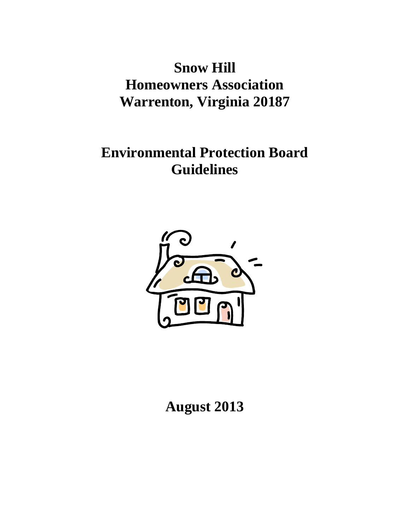**Snow Hill Homeowners Association Warrenton, Virginia 20187**

**Environmental Protection Board Guidelines**



**August 2013**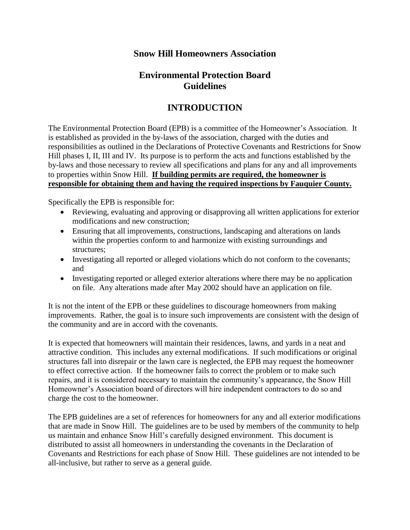### **Snow Hill Homeowners Association**

## **Environmental Protection Board Guidelines**

# **INTRODUCTION**

The Environmental Protection Board (EPB) is a committee of the Homeowner's Association. It is established as provided in the by-laws of the association, charged with the duties and responsibilities as outlined in the Declarations of Protective Covenants and Restrictions for Snow Hill phases I, II, III and IV. Its purpose is to perform the acts and functions established by the by-laws and those necessary to review all specifications and plans for any and all improvements to properties within Snow Hill. **If building permits are required, the homeowner is responsible for obtaining them and having the required inspections by Fauquier County.**

Specifically the EPB is responsible for:

- Reviewing, evaluating and approving or disapproving all written applications for exterior modifications and new construction;
- Ensuring that all improvements, constructions, landscaping and alterations on lands within the properties conform to and harmonize with existing surroundings and structures;
- Investigating all reported or alleged violations which do not conform to the covenants; and
- Investigating reported or alleged exterior alterations where there may be no application on file. Any alterations made after May 2002 should have an application on file.

It is not the intent of the EPB or these guidelines to discourage homeowners from making improvements. Rather, the goal is to insure such improvements are consistent with the design of the community and are in accord with the covenants.

It is expected that homeowners will maintain their residences, lawns, and yards in a neat and attractive condition. This includes any external modifications. If such modifications or original structures fall into disrepair or the lawn care is neglected, the EPB may request the homeowner to effect corrective action. If the homeowner fails to correct the problem or to make such repairs, and it is considered necessary to maintain the community's appearance, the Snow Hill Homeowner's Association board of directors will hire independent contractors to do so and charge the cost to the homeowner.

The EPB guidelines are a set of references for homeowners for any and all exterior modifications that are made in Snow Hill. The guidelines are to be used by members of the community to help us maintain and enhance Snow Hill's carefully designed environment. This document is distributed to assist all homeowners in understanding the covenants in the Declaration of Covenants and Restrictions for each phase of Snow Hill. These guidelines are not intended to be all-inclusive, but rather to serve as a general guide.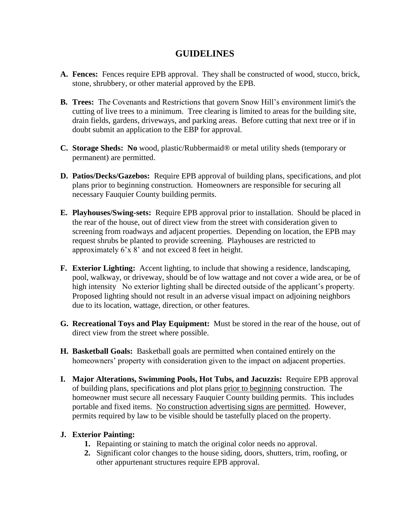### **GUIDELINES**

- **A. Fences:** Fences require EPB approval. They shall be constructed of wood, stucco, brick, stone, shrubbery, or other material approved by the EPB.
- **B. Trees:** The Covenants and Restrictions that govern Snow Hill's environment limit's the cutting of live trees to a minimum. Tree clearing is limited to areas for the building site, drain fields, gardens, driveways, and parking areas. Before cutting that next tree or if in doubt submit an application to the EBP for approval.
- **C. Storage Sheds: No** wood, plastic/Rubbermaid® or metal utility sheds (temporary or permanent) are permitted.
- **D. Patios/Decks/Gazebos:** Require EPB approval of building plans, specifications, and plot plans prior to beginning construction. Homeowners are responsible for securing all necessary Fauquier County building permits.
- **E. Playhouses/Swing-sets:** Require EPB approval prior to installation. Should be placed in the rear of the house, out of direct view from the street with consideration given to screening from roadways and adjacent properties. Depending on location, the EPB may request shrubs be planted to provide screening. Playhouses are restricted to approximately 6'x 8' and not exceed 8 feet in height.
- **F. Exterior Lighting:** Accent lighting, to include that showing a residence, landscaping, pool, walkway, or driveway, should be of low wattage and not cover a wide area, or be of high intensity No exterior lighting shall be directed outside of the applicant's property. Proposed lighting should not result in an adverse visual impact on adjoining neighbors due to its location, wattage, direction, or other features.
- **G. Recreational Toys and Play Equipment:** Must be stored in the rear of the house, out of direct view from the street where possible.
- **H. Basketball Goals:** Basketball goals are permitted when contained entirely on the homeowners' property with consideration given to the impact on adjacent properties.
- **I. Major Alterations, Swimming Pools, Hot Tubs, and Jacuzzis:** Require EPB approval of building plans, specifications and plot plans prior to beginning construction. The homeowner must secure all necessary Fauquier County building permits. This includes portable and fixed items. No construction advertising signs are permitted. However, permits required by law to be visible should be tastefully placed on the property.

#### **J. Exterior Painting:**

- **1.** Repainting or staining to match the original color needs no approval.
- **2.** Significant color changes to the house siding, doors, shutters, trim, roofing, or other appurtenant structures require EPB approval.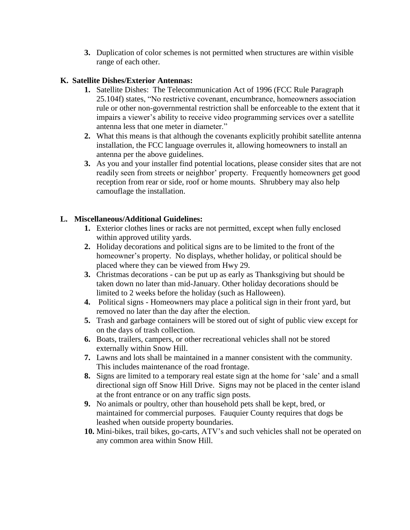**3.** Duplication of color schemes is not permitted when structures are within visible range of each other.

#### **K. Satellite Dishes/Exterior Antennas:**

- **1.** Satellite Dishes: The Telecommunication Act of 1996 (FCC Rule Paragraph 25.104f) states, "No restrictive covenant, encumbrance, homeowners association rule or other non-governmental restriction shall be enforceable to the extent that it impairs a viewer's ability to receive video programming services over a satellite antenna less that one meter in diameter."
- **2.** What this means is that although the covenants explicitly prohibit satellite antenna installation, the FCC language overrules it, allowing homeowners to install an antenna per the above guidelines.
- **3.** As you and your installer find potential locations, please consider sites that are not readily seen from streets or neighbor' property. Frequently homeowners get good reception from rear or side, roof or home mounts. Shrubbery may also help camouflage the installation.

#### **L. Miscellaneous/Additional Guidelines:**

- **1.** Exterior clothes lines or racks are not permitted, except when fully enclosed within approved utility yards.
- **2.** Holiday decorations and political signs are to be limited to the front of the homeowner's property. No displays, whether holiday, or political should be placed where they can be viewed from Hwy 29.
- **3.** Christmas decorations can be put up as early as Thanksgiving but should be taken down no later than mid-January. Other holiday decorations should be limited to 2 weeks before the holiday (such as Halloween).
- **4.** Political signs Homeowners may place a political sign in their front yard, but removed no later than the day after the election.
- **5.** Trash and garbage containers will be stored out of sight of public view except for on the days of trash collection.
- **6.** Boats, trailers, campers, or other recreational vehicles shall not be stored externally within Snow Hill.
- **7.** Lawns and lots shall be maintained in a manner consistent with the community. This includes maintenance of the road frontage.
- **8.** Signs are limited to a temporary real estate sign at the home for 'sale' and a small directional sign off Snow Hill Drive. Signs may not be placed in the center island at the front entrance or on any traffic sign posts.
- **9.** No animals or poultry, other than household pets shall be kept, bred, or maintained for commercial purposes. Fauquier County requires that dogs be leashed when outside property boundaries.
- **10.** Mini-bikes, trail bikes, go-carts, ATV's and such vehicles shall not be operated on any common area within Snow Hill.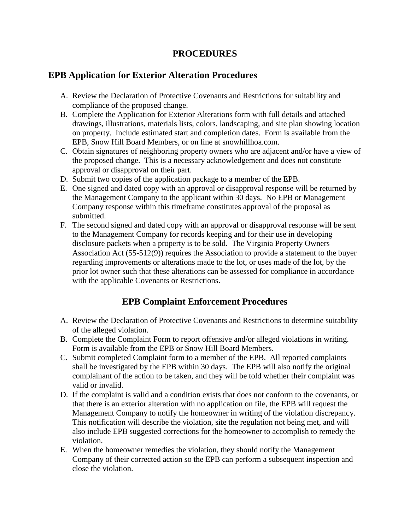### **PROCEDURES**

### **EPB Application for Exterior Alteration Procedures**

- A. Review the Declaration of Protective Covenants and Restrictions for suitability and compliance of the proposed change.
- B. Complete the Application for Exterior Alterations form with full details and attached drawings, illustrations, materials lists, colors, landscaping, and site plan showing location on property. Include estimated start and completion dates. Form is available from the EPB, Snow Hill Board Members, or on line at snowhillhoa.com.
- C. Obtain signatures of neighboring property owners who are adjacent and/or have a view of the proposed change. This is a necessary acknowledgement and does not constitute approval or disapproval on their part.
- D. Submit two copies of the application package to a member of the EPB.
- E. One signed and dated copy with an approval or disapproval response will be returned by the Management Company to the applicant within 30 days. No EPB or Management Company response within this timeframe constitutes approval of the proposal as submitted.
- F. The second signed and dated copy with an approval or disapproval response will be sent to the Management Company for records keeping and for their use in developing disclosure packets when a property is to be sold. The Virginia Property Owners Association Act (55-512(9)) requires the Association to provide a statement to the buyer regarding improvements or alterations made to the lot, or uses made of the lot, by the prior lot owner such that these alterations can be assessed for compliance in accordance with the applicable Covenants or Restrictions.

# **EPB Complaint Enforcement Procedures**

- A. Review the Declaration of Protective Covenants and Restrictions to determine suitability of the alleged violation.
- B. Complete the Complaint Form to report offensive and/or alleged violations in writing. Form is available from the EPB or Snow Hill Board Members.
- C. Submit completed Complaint form to a member of the EPB. All reported complaints shall be investigated by the EPB within 30 days. The EPB will also notify the original complainant of the action to be taken, and they will be told whether their complaint was valid or invalid.
- D. If the complaint is valid and a condition exists that does not conform to the covenants, or that there is an exterior alteration with no application on file, the EPB will request the Management Company to notify the homeowner in writing of the violation discrepancy. This notification will describe the violation, site the regulation not being met, and will also include EPB suggested corrections for the homeowner to accomplish to remedy the violation.
- E. When the homeowner remedies the violation, they should notify the Management Company of their corrected action so the EPB can perform a subsequent inspection and close the violation.